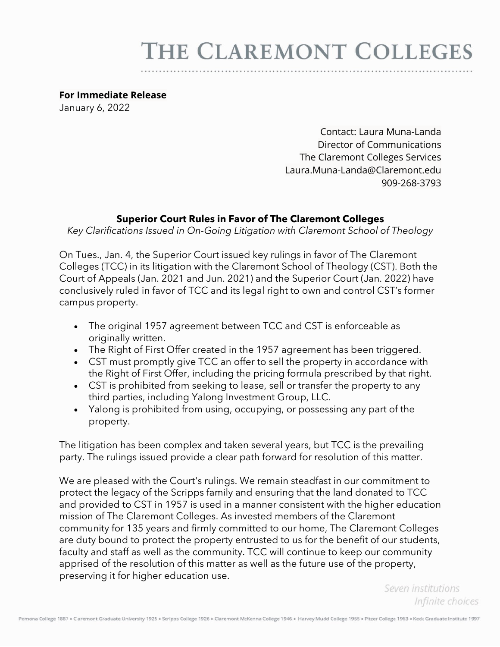# THE CLAREMONT COLLEGES

#### **For Immediate Release**

January 6, 2022

Contact: Laura Muna-Landa Director of Communications The Claremont Colleges Services Laura.Muna-Landa@Claremont.edu 909-268-3793

### **Superior Court Rules in Favor of The Claremont Colleges**

*Key Clarifications Issued in On-Going Litigation with Claremont School of Theology*

On Tues., Jan. 4, the Superior Court issued key rulings in favor of The Claremont Colleges (TCC) in its litigation with the Claremont School of Theology (CST). Both the Court of Appeals (Jan. 2021 and Jun. 2021) and the Superior Court (Jan. 2022) have conclusively ruled in favor of TCC and its legal right to own and control CST's former campus property.

- The original 1957 agreement between TCC and CST is enforceable as originally written.
- The Right of First Offer created in the 1957 agreement has been triggered.
- CST must promptly give TCC an offer to sell the property in accordance with the Right of First Offer, including the pricing formula prescribed by that right.
- CST is prohibited from seeking to lease, sell or transfer the property to any third parties, including Yalong Investment Group, LLC.
- Yalong is prohibited from using, occupying, or possessing any part of the property.

The litigation has been complex and taken several years, but TCC is the prevailing party. The rulings issued provide a clear path forward for resolution of this matter.

We are pleased with the Court's rulings. We remain steadfast in our commitment to protect the legacy of the Scripps family and ensuring that the land donated to TCC and provided to CST in 1957 is used in a manner consistent with the higher education mission of The Claremont Colleges. As invested members of the Claremont community for 135 years and firmly committed to our home, The Claremont Colleges are duty bound to protect the property entrusted to us for the benefit of our students, faculty and staff as well as the community. TCC will continue to keep our community apprised of the resolution of this matter as well as the future use of the property, preserving it for higher education use.

> Seven institutions Infinite choices